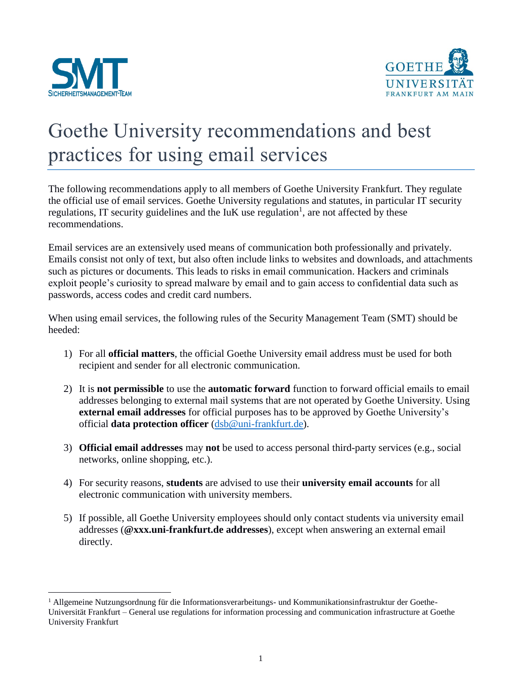

 $\overline{a}$ 



## Goethe University recommendations and best practices for using email services

The following recommendations apply to all members of Goethe University Frankfurt. They regulate the official use of email services. Goethe University regulations and statutes, in particular IT security regulations, IT security guidelines and the  $I uK$  use regulation<sup>1</sup>, are not affected by these recommendations.

Email services are an extensively used means of communication both professionally and privately. Emails consist not only of text, but also often include links to websites and downloads, and attachments such as pictures or documents. This leads to risks in email communication. Hackers and criminals exploit people's curiosity to spread malware by email and to gain access to confidential data such as passwords, access codes and credit card numbers.

When using email services, the following rules of the Security Management Team (SMT) should be heeded:

- 1) For all **official matters**, the official Goethe University email address must be used for both recipient and sender for all electronic communication.
- 2) It is **not permissible** to use the **automatic forward** function to forward official emails to email addresses belonging to external mail systems that are not operated by Goethe University. Using **external email addresses** for official purposes has to be approved by Goethe University's official **data protection officer** [\(dsb@uni-frankfurt.de\)](mailto:dsb@uni-frankfurt.de).
- 3) **Official email addresses** may **not** be used to access personal third-party services (e.g., social networks, online shopping, etc.).
- 4) For security reasons, **students** are advised to use their **university email accounts** for all electronic communication with university members.
- 5) If possible, all Goethe University employees should only contact students via university email addresses (**@xxx.uni-frankfurt.de addresses**), except when answering an external email directly.

<sup>1</sup> Allgemeine Nutzungsordnung für die Informationsverarbeitungs- und Kommunikationsinfrastruktur der Goethe-Universität Frankfurt – General use regulations for information processing and communication infrastructure at Goethe University Frankfurt